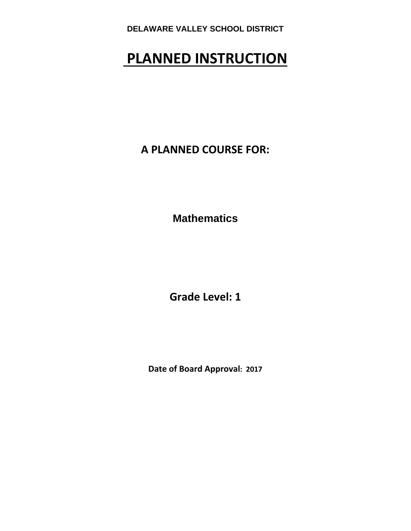# **PLANNED INSTRUCTION**

**A PLANNED COURSE FOR:**

**Mathematics** 

**Grade Level: 1**

**Date of Board Approval: 2017**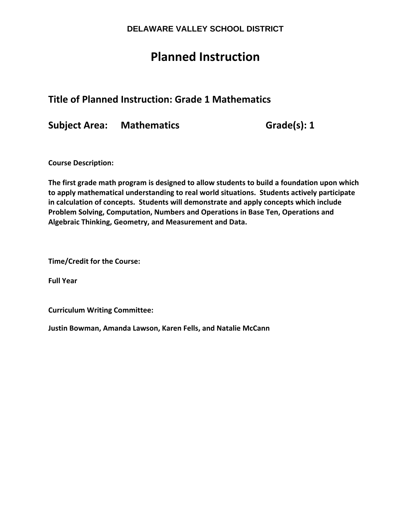## **Planned Instruction**

## **Title of Planned Instruction: Grade 1 Mathematics**

**Subject Area: Mathematics Grade(s): 1**

**Course Description:** 

**The first grade math program is designed to allow students to build a foundation upon which to apply mathematical understanding to real world situations. Students actively participate in calculation of concepts. Students will demonstrate and apply concepts which include Problem Solving, Computation, Numbers and Operations in Base Ten, Operations and Algebraic Thinking, Geometry, and Measurement and Data.**

**Time/Credit for the Course:** 

**Full Year**

**Curriculum Writing Committee:** 

**Justin Bowman, Amanda Lawson, Karen Fells, and Natalie McCann**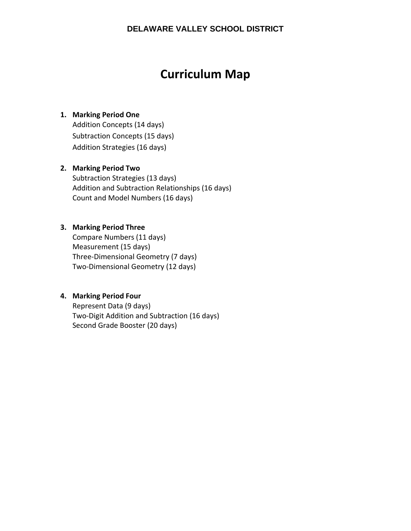## **Curriculum Map**

#### **1. Marking Period One**

Addition Concepts (14 days) Subtraction Concepts (15 days) Addition Strategies (16 days)

#### **2. Marking Period Two**

Subtraction Strategies (13 days) Addition and Subtraction Relationships (16 days) Count and Model Numbers (16 days)

#### **3. Marking Period Three**

Compare Numbers (11 days) Measurement (15 days) Three‐Dimensional Geometry (7 days) Two‐Dimensional Geometry (12 days)

#### **4. Marking Period Four**

Represent Data (9 days) Two‐Digit Addition and Subtraction (16 days) Second Grade Booster (20 days)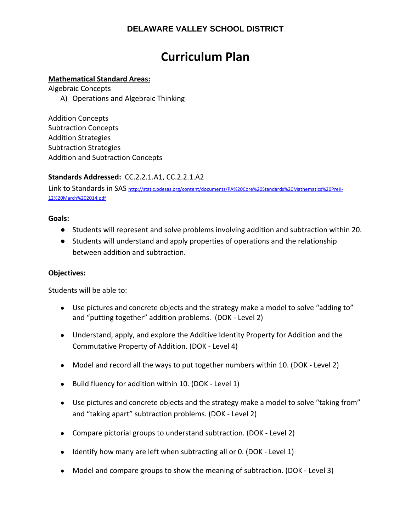## **Curriculum Plan**

#### **Mathematical Standard Areas:**

Algebraic Concepts

A) Operations and Algebraic Thinking

Addition Concepts Subtraction Concepts Addition Strategies Subtraction Strategies Addition and Subtraction Concepts

#### **Standards Addressed:** CC.2.2.1.A1, CC.2.2.1.A2

Link to Standards in SAS http://static.pdesas.org/content/documents/PA%20Core%20Standards%20Mathematics%20PreK-12%20March%202014.pdf

#### **Goals:**

- Students will represent and solve problems involving addition and subtraction within 20.
- Students will understand and apply properties of operations and the relationship between addition and subtraction.

#### **Objectives:**

Students will be able to:

- Use pictures and concrete objects and the strategy make a model to solve "adding to" and "putting together" addition problems. (DOK ‐ Level 2)
- Understand, apply, and explore the Additive Identity Property for Addition and the Commutative Property of Addition. (DOK ‐ Level 4)
- Model and record all the ways to put together numbers within 10. (DOK Level 2)
- Build fluency for addition within 10. (DOK Level 1)
- Use pictures and concrete objects and the strategy make a model to solve "taking from" and "taking apart" subtraction problems. (DOK ‐ Level 2)
- Compare pictorial groups to understand subtraction. (DOK Level 2)
- Identify how many are left when subtracting all or 0. (DOK Level 1)
- Model and compare groups to show the meaning of subtraction. (DOK Level 3)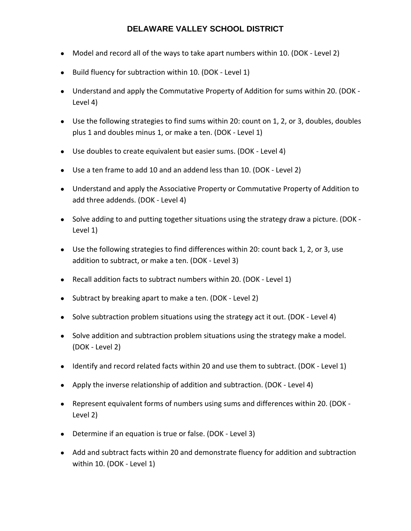- Model and record all of the ways to take apart numbers within 10. (DOK Level 2)
- Build fluency for subtraction within 10. (DOK Level 1)
- Understand and apply the Commutative Property of Addition for sums within 20. (DOK -Level 4)
- Use the following strategies to find sums within 20: count on 1, 2, or 3, doubles, doubles plus 1 and doubles minus 1, or make a ten. (DOK ‐ Level 1)
- Use doubles to create equivalent but easier sums. (DOK Level 4)
- Use a ten frame to add 10 and an addend less than 10. (DOK Level 2)
- Understand and apply the Associative Property or Commutative Property of Addition to add three addends. (DOK ‐ Level 4)
- Solve adding to and putting together situations using the strategy draw a picture. (DOK -Level 1)
- Use the following strategies to find differences within 20: count back 1, 2, or 3, use addition to subtract, or make a ten. (DOK ‐ Level 3)
- Recall addition facts to subtract numbers within 20. (DOK Level 1)
- Subtract by breaking apart to make a ten. (DOK Level 2)
- Solve subtraction problem situations using the strategy act it out. (DOK Level 4)
- Solve addition and subtraction problem situations using the strategy make a model. (DOK ‐ Level 2)
- Identify and record related facts within 20 and use them to subtract. (DOK Level 1)
- Apply the inverse relationship of addition and subtraction. (DOK Level 4)
- Represent equivalent forms of numbers using sums and differences within 20. (DOK ‐ Level 2)
- Determine if an equation is true or false. (DOK Level 3)
- Add and subtract facts within 20 and demonstrate fluency for addition and subtraction within 10. (DOK ‐ Level 1)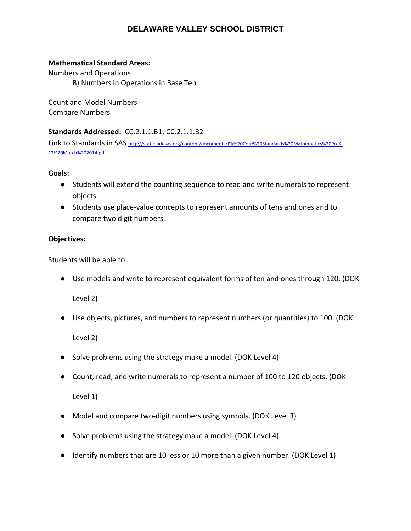#### **Mathematical Standard Areas:**

Numbers and Operations B) Numbers in Operations in Base Ten

Count and Model Numbers Compare Numbers

#### **Standards Addressed:** CC.2.1.1.B1, CC.2.1.1.B2

Link to Standards in SAS http://static.pdesas.org/content/documents/PA%20Core%20Standards%20Mathematics%20PreK-12%20March%202014.pdf

#### **Goals:**

- Students will extend the counting sequence to read and write numerals to represent objects.
- Students use place-value concepts to represent amounts of tens and ones and to compare two digit numbers.

#### **Objectives:**

Students will be able to:

● Use models and write to represent equivalent forms of ten and ones through 120. (DOK

Level 2)

● Use objects, pictures, and numbers to represent numbers (or quantities) to 100. (DOK

Level 2)

- Solve problems using the strategy make a model. (DOK Level 4)
- Count, read, and write numerals to represent a number of 100 to 120 objects. (DOK

Level 1)

- Model and compare two-digit numbers using symbols. (DOK Level 3)
- Solve problems using the strategy make a model. (DOK Level 4)
- Identify numbers that are 10 less or 10 more than a given number. (DOK Level 1)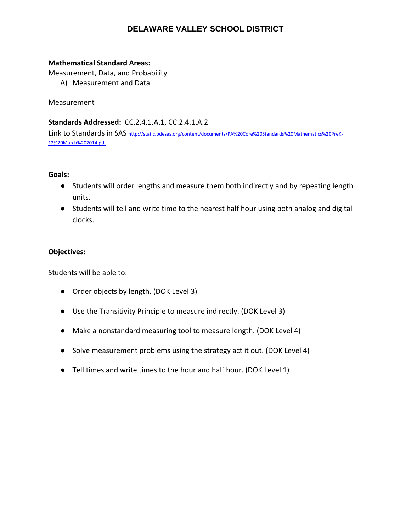#### **Mathematical Standard Areas:**

Measurement, Data, and Probability

A) Measurement and Data

Measurement

#### **Standards Addressed:** CC.2.4.1.A.1, CC.2.4.1.A.2

Link to Standards in SAS http://static.pdesas.org/content/documents/PA%20Core%20Standards%20Mathematics%20PreK-12%20March%202014.pdf

#### **Goals:**

- Students will order lengths and measure them both indirectly and by repeating length units.
- Students will tell and write time to the nearest half hour using both analog and digital clocks.

#### **Objectives:**

Students will be able to:

- Order objects by length. (DOK Level 3)
- Use the Transitivity Principle to measure indirectly. (DOK Level 3)
- Make a nonstandard measuring tool to measure length. (DOK Level 4)
- Solve measurement problems using the strategy act it out. (DOK Level 4)
- Tell times and write times to the hour and half hour. (DOK Level 1)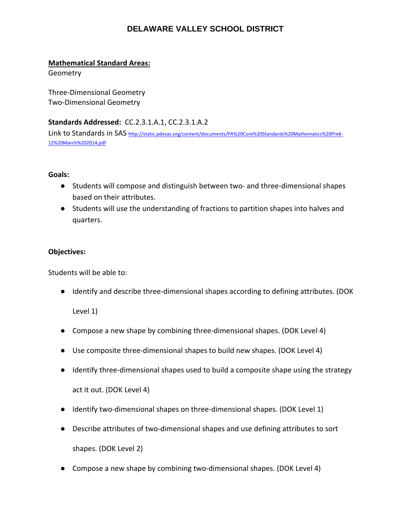#### **Mathematical Standard Areas:**

**Geometry** 

Three‐Dimensional Geometry Two‐Dimensional Geometry

**Standards Addressed:** CC.2.3.1.A.1, CC.2.3.1.A.2

Link to Standards in SAS http://static.pdesas.org/content/documents/PA%20Core%20Standards%20Mathematics%20PreK‐ 12%20March%202014.pdf

#### **Goals:**

- Students will compose and distinguish between two- and three-dimensional shapes based on their attributes.
- Students will use the understanding of fractions to partition shapes into halves and quarters.

#### **Objectives:**

Students will be able to:

● Identify and describe three-dimensional shapes according to defining attributes. (DOK

Level 1)

- Compose a new shape by combining three-dimensional shapes. (DOK Level 4)
- Use composite three-dimensional shapes to build new shapes. (DOK Level 4)
- Identify three-dimensional shapes used to build a composite shape using the strategy

act it out. (DOK Level 4)

- Identify two-dimensional shapes on three-dimensional shapes. (DOK Level 1)
- Describe attributes of two-dimensional shapes and use defining attributes to sort shapes. (DOK Level 2)
- Compose a new shape by combining two-dimensional shapes. (DOK Level 4)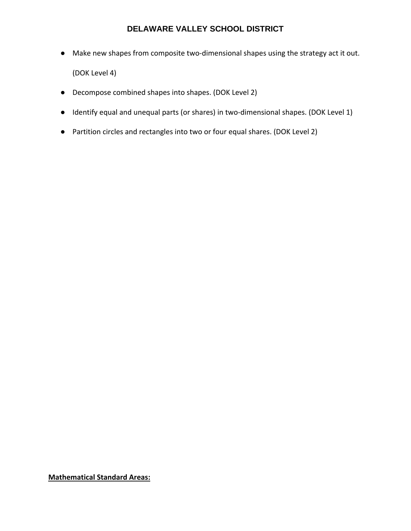- Make new shapes from composite two-dimensional shapes using the strategy act it out. (DOK Level 4)
- Decompose combined shapes into shapes. (DOK Level 2)
- Identify equal and unequal parts (or shares) in two-dimensional shapes. (DOK Level 1)
- Partition circles and rectangles into two or four equal shares. (DOK Level 2)

**Mathematical Standard Areas:**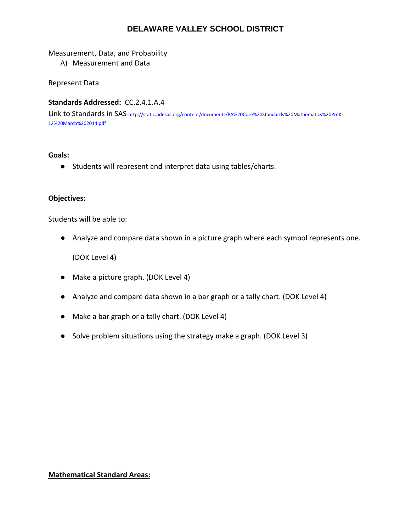#### Measurement, Data, and Probability

A) Measurement and Data

Represent Data

#### **Standards Addressed:** CC.2.4.1.A.4

Link to Standards in SAS http://static.pdesas.org/content/documents/PA%20Core%20Standards%20Mathematics%20PreK-12%20March%202014.pdf

#### **Goals:**

● Students will represent and interpret data using tables/charts.

#### **Objectives:**

Students will be able to:

● Analyze and compare data shown in a picture graph where each symbol represents one.

(DOK Level 4)

- Make a picture graph. (DOK Level 4)
- Analyze and compare data shown in a bar graph or a tally chart. (DOK Level 4)
- Make a bar graph or a tally chart. (DOK Level 4)
- Solve problem situations using the strategy make a graph. (DOK Level 3)

#### **Mathematical Standard Areas:**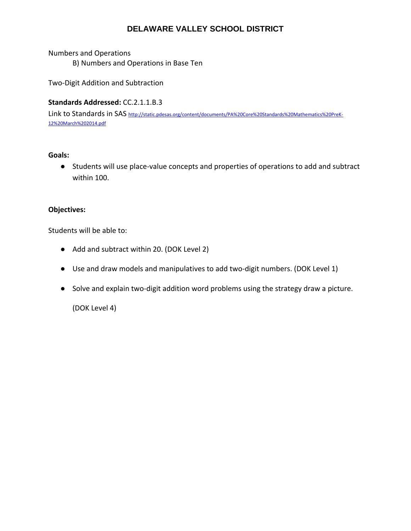Numbers and Operations B) Numbers and Operations in Base Ten

Two‐Digit Addition and Subtraction

#### **Standards Addressed:** CC.2.1.1.B.3

Link to Standards in SAS http://static.pdesas.org/content/documents/PA%20Core%20Standards%20Mathematics%20PreK-12%20March%202014.pdf

#### **Goals:**

● Students will use place-value concepts and properties of operations to add and subtract within 100.

#### **Objectives:**

Students will be able to:

- Add and subtract within 20. (DOK Level 2)
- Use and draw models and manipulatives to add two-digit numbers. (DOK Level 1)
- Solve and explain two-digit addition word problems using the strategy draw a picture.

(DOK Level 4)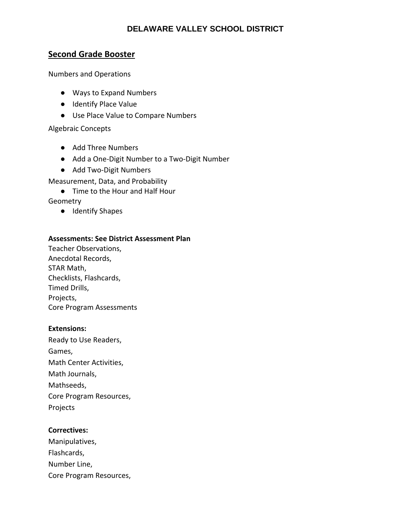### **Second Grade Booster**

Numbers and Operations

- Ways to Expand Numbers
- Identify Place Value
- Use Place Value to Compare Numbers

Algebraic Concepts

- Add Three Numbers
- Add a One-Digit Number to a Two-Digit Number
- Add Two-Digit Numbers

Measurement, Data, and Probability

● Time to the Hour and Half Hour

**Geometry** 

● Identify Shapes

#### **Assessments: See District Assessment Plan**

Teacher Observations, Anecdotal Records, STAR Math, Checklists, Flashcards, Timed Drills, Projects, Core Program Assessments

#### **Extensions:**

Ready to Use Readers, Games, Math Center Activities, Math Journals, Mathseeds, Core Program Resources, Projects

#### **Correctives:**

| Manipulatives,          |
|-------------------------|
| Flashcards,             |
| Number Line,            |
| Core Program Resources, |